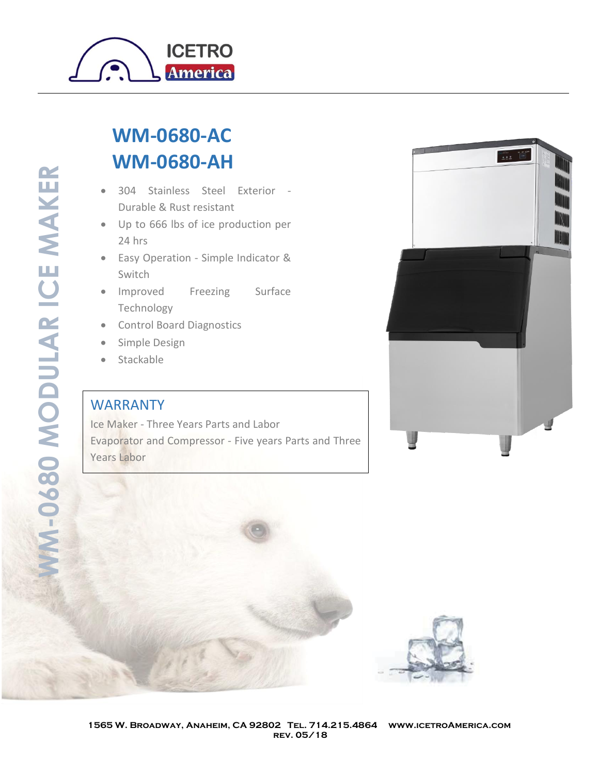

## **WM-0680-AC WM-0680-AH**

- 304 Stainless Steel Exterior Durable & Rust resistant
- Up to 666 lbs of ice production per 24 hrs
- Easy Operation Simple Indicator & Switch
- Improved Freezing Surface Technology
- Control Board Diagnostics
- Simple Design
- Stackable

## WARRANTY

Ice Maker - Three Years Parts and Labor Evaporator and Compressor - Five years Parts and Three Years Labor